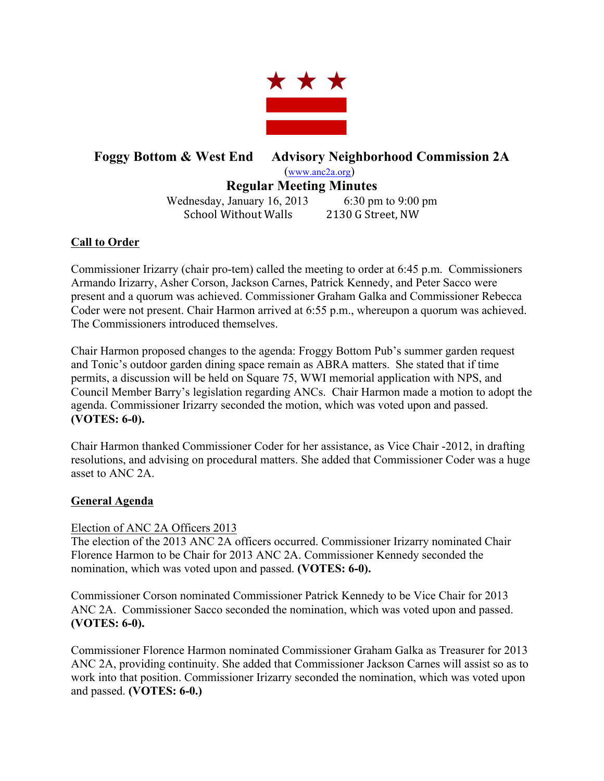

# **Foggy Bottom & West End Advisory Neighborhood Commission 2A** (www.anc2a.org) **Regular Meeting Minutes**

Wednesday, January 16, 2013 6:30 pm to 9:00 pm School Without Walls 2130 G Street, NW

# **Call to Order**

Commissioner Irizarry (chair pro-tem) called the meeting to order at 6:45 p.m. Commissioners Armando Irizarry, Asher Corson, Jackson Carnes, Patrick Kennedy, and Peter Sacco were present and a quorum was achieved. Commissioner Graham Galka and Commissioner Rebecca Coder were not present. Chair Harmon arrived at 6:55 p.m., whereupon a quorum was achieved. The Commissioners introduced themselves.

Chair Harmon proposed changes to the agenda: Froggy Bottom Pub's summer garden request and Tonic's outdoor garden dining space remain as ABRA matters. She stated that if time permits, a discussion will be held on Square 75, WWI memorial application with NPS, and Council Member Barry's legislation regarding ANCs. Chair Harmon made a motion to adopt the agenda. Commissioner Irizarry seconded the motion, which was voted upon and passed. **(VOTES: 6-0).**

Chair Harmon thanked Commissioner Coder for her assistance, as Vice Chair -2012, in drafting resolutions, and advising on procedural matters. She added that Commissioner Coder was a huge asset to ANC 2A.

# **General Agenda**

# Election of ANC 2A Officers 2013

The election of the 2013 ANC 2A officers occurred. Commissioner Irizarry nominated Chair Florence Harmon to be Chair for 2013 ANC 2A. Commissioner Kennedy seconded the nomination, which was voted upon and passed. **(VOTES: 6-0).**

Commissioner Corson nominated Commissioner Patrick Kennedy to be Vice Chair for 2013 ANC 2A. Commissioner Sacco seconded the nomination, which was voted upon and passed. **(VOTES: 6-0).**

Commissioner Florence Harmon nominated Commissioner Graham Galka as Treasurer for 2013 ANC 2A, providing continuity. She added that Commissioner Jackson Carnes will assist so as to work into that position. Commissioner Irizarry seconded the nomination, which was voted upon and passed. **(VOTES: 6-0.)**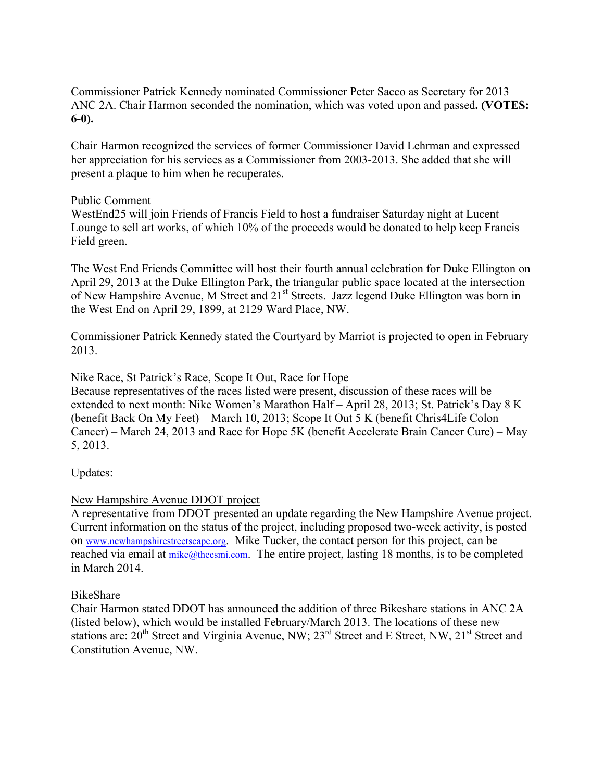Commissioner Patrick Kennedy nominated Commissioner Peter Sacco as Secretary for 2013 ANC 2A. Chair Harmon seconded the nomination, which was voted upon and passed**. (VOTES: 6-0).** 

Chair Harmon recognized the services of former Commissioner David Lehrman and expressed her appreciation for his services as a Commissioner from 2003-2013. She added that she will present a plaque to him when he recuperates.

## Public Comment

WestEnd25 will join Friends of Francis Field to host a fundraiser Saturday night at Lucent Lounge to sell art works, of which 10% of the proceeds would be donated to help keep Francis Field green.

The West End Friends Committee will host their fourth annual celebration for Duke Ellington on April 29, 2013 at the Duke Ellington Park, the triangular public space located at the intersection of New Hampshire Avenue, M Street and 21<sup>st</sup> Streets. Jazz legend Duke Ellington was born in the West End on April 29, 1899, at 2129 Ward Place, NW.

Commissioner Patrick Kennedy stated the Courtyard by Marriot is projected to open in February 2013.

## Nike Race, St Patrick's Race, Scope It Out, Race for Hope

Because representatives of the races listed were present, discussion of these races will be extended to next month: Nike Women's Marathon Half – April 28, 2013; St. Patrick's Day 8 K (benefit Back On My Feet) – March 10, 2013; Scope It Out 5 K (benefit Chris4Life Colon Cancer) – March 24, 2013 and Race for Hope 5K (benefit Accelerate Brain Cancer Cure) – May 5, 2013.

# Updates:

## New Hampshire Avenue DDOT project

A representative from DDOT presented an update regarding the New Hampshire Avenue project. Current information on the status of the project, including proposed two-week activity, is posted on www.newhampshirestreetscape.org. Mike Tucker, the contact person for this project, can be reached via email at mike@thecsmi.com. The entire project, lasting 18 months, is to be completed in March 2014.

## BikeShare

Chair Harmon stated DDOT has announced the addition of three Bikeshare stations in ANC 2A (listed below), which would be installed February/March 2013. The locations of these new stations are:  $20^{th}$  Street and Virginia Avenue, NW;  $23^{rd}$  Street and E Street, NW,  $21^{st}$  Street and Constitution Avenue, NW.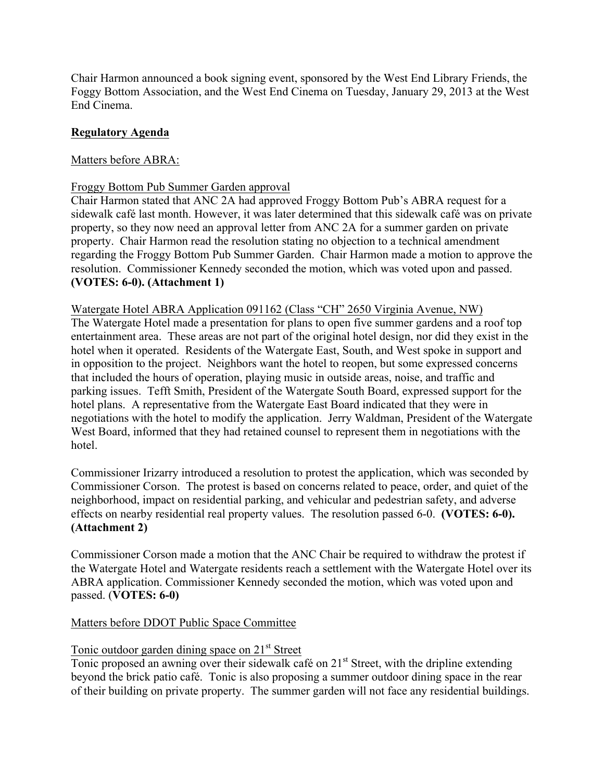Chair Harmon announced a book signing event, sponsored by the West End Library Friends, the Foggy Bottom Association, and the West End Cinema on Tuesday, January 29, 2013 at the West End Cinema.

## **Regulatory Agenda**

## Matters before ABRA:

## Froggy Bottom Pub Summer Garden approval

Chair Harmon stated that ANC 2A had approved Froggy Bottom Pub's ABRA request for a sidewalk café last month. However, it was later determined that this sidewalk café was on private property, so they now need an approval letter from ANC 2A for a summer garden on private property. Chair Harmon read the resolution stating no objection to a technical amendment regarding the Froggy Bottom Pub Summer Garden. Chair Harmon made a motion to approve the resolution. Commissioner Kennedy seconded the motion, which was voted upon and passed. **(VOTES: 6-0). (Attachment 1)**

## Watergate Hotel ABRA Application 091162 (Class "CH" 2650 Virginia Avenue, NW) The Watergate Hotel made a presentation for plans to open five summer gardens and a roof top entertainment area. These areas are not part of the original hotel design, nor did they exist in the hotel when it operated. Residents of the Watergate East, South, and West spoke in support and in opposition to the project. Neighbors want the hotel to reopen, but some expressed concerns that included the hours of operation, playing music in outside areas, noise, and traffic and parking issues. Tefft Smith, President of the Watergate South Board, expressed support for the hotel plans. A representative from the Watergate East Board indicated that they were in negotiations with the hotel to modify the application. Jerry Waldman, President of the Watergate West Board, informed that they had retained counsel to represent them in negotiations with the hotel.

Commissioner Irizarry introduced a resolution to protest the application, which was seconded by Commissioner Corson. The protest is based on concerns related to peace, order, and quiet of the neighborhood, impact on residential parking, and vehicular and pedestrian safety, and adverse effects on nearby residential real property values. The resolution passed 6-0. **(VOTES: 6-0). (Attachment 2)**

Commissioner Corson made a motion that the ANC Chair be required to withdraw the protest if the Watergate Hotel and Watergate residents reach a settlement with the Watergate Hotel over its ABRA application. Commissioner Kennedy seconded the motion, which was voted upon and passed. (**VOTES: 6-0)** 

## Matters before DDOT Public Space Committee

# Tonic outdoor garden dining space on  $21<sup>st</sup>$  Street

Tonic proposed an awning over their sidewalk café on  $21<sup>st</sup>$  Street, with the dripline extending beyond the brick patio café. Tonic is also proposing a summer outdoor dining space in the rear of their building on private property. The summer garden will not face any residential buildings.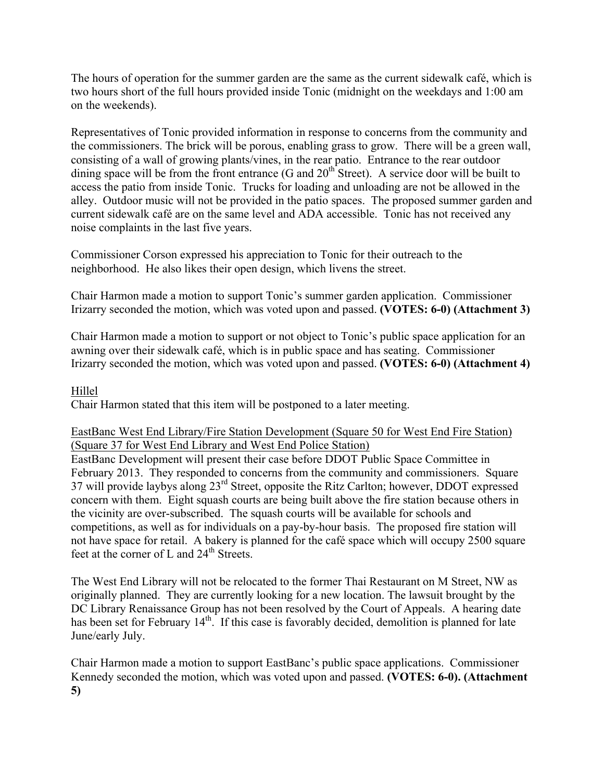The hours of operation for the summer garden are the same as the current sidewalk café, which is two hours short of the full hours provided inside Tonic (midnight on the weekdays and 1:00 am on the weekends).

Representatives of Tonic provided information in response to concerns from the community and the commissioners. The brick will be porous, enabling grass to grow. There will be a green wall, consisting of a wall of growing plants/vines, in the rear patio. Entrance to the rear outdoor dining space will be from the front entrance  $(G \text{ and } 20^{\text{th}} \text{ Street})$ . A service door will be built to access the patio from inside Tonic. Trucks for loading and unloading are not be allowed in the alley. Outdoor music will not be provided in the patio spaces. The proposed summer garden and current sidewalk café are on the same level and ADA accessible. Tonic has not received any noise complaints in the last five years.

Commissioner Corson expressed his appreciation to Tonic for their outreach to the neighborhood. He also likes their open design, which livens the street.

Chair Harmon made a motion to support Tonic's summer garden application. Commissioner Irizarry seconded the motion, which was voted upon and passed. **(VOTES: 6-0) (Attachment 3)**

Chair Harmon made a motion to support or not object to Tonic's public space application for an awning over their sidewalk café, which is in public space and has seating. Commissioner Irizarry seconded the motion, which was voted upon and passed. **(VOTES: 6-0) (Attachment 4)**

## Hillel

Chair Harmon stated that this item will be postponed to a later meeting.

## EastBanc West End Library/Fire Station Development (Square 50 for West End Fire Station) (Square 37 for West End Library and West End Police Station)

EastBanc Development will present their case before DDOT Public Space Committee in February 2013. They responded to concerns from the community and commissioners. Square 37 will provide laybys along 23rd Street, opposite the Ritz Carlton; however, DDOT expressed concern with them. Eight squash courts are being built above the fire station because others in the vicinity are over-subscribed. The squash courts will be available for schools and competitions, as well as for individuals on a pay-by-hour basis. The proposed fire station will not have space for retail. A bakery is planned for the café space which will occupy 2500 square feet at the corner of L and  $24<sup>th</sup>$  Streets.

The West End Library will not be relocated to the former Thai Restaurant on M Street, NW as originally planned. They are currently looking for a new location. The lawsuit brought by the DC Library Renaissance Group has not been resolved by the Court of Appeals. A hearing date has been set for February 14<sup>th</sup>. If this case is favorably decided, demolition is planned for late June/early July.

Chair Harmon made a motion to support EastBanc's public space applications. Commissioner Kennedy seconded the motion, which was voted upon and passed. **(VOTES: 6-0). (Attachment 5)**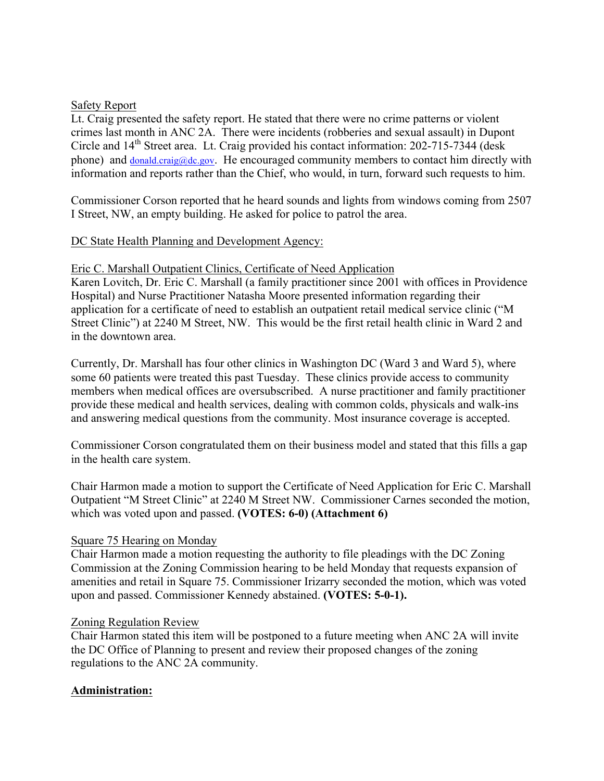## Safety Report

Lt. Craig presented the safety report. He stated that there were no crime patterns or violent crimes last month in ANC 2A. There were incidents (robberies and sexual assault) in Dupont Circle and 14<sup>th</sup> Street area. Lt. Craig provided his contact information: 202-715-7344 (desk phone) and donald.craig@dc.gov. He encouraged community members to contact him directly with information and reports rather than the Chief, who would, in turn, forward such requests to him.

Commissioner Corson reported that he heard sounds and lights from windows coming from 2507 I Street, NW, an empty building. He asked for police to patrol the area.

## DC State Health Planning and Development Agency:

## Eric C. Marshall Outpatient Clinics, Certificate of Need Application

Karen Lovitch, Dr. Eric C. Marshall (a family practitioner since 2001 with offices in Providence Hospital) and Nurse Practitioner Natasha Moore presented information regarding their application for a certificate of need to establish an outpatient retail medical service clinic ("M Street Clinic") at 2240 M Street, NW. This would be the first retail health clinic in Ward 2 and in the downtown area.

Currently, Dr. Marshall has four other clinics in Washington DC (Ward 3 and Ward 5), where some 60 patients were treated this past Tuesday. These clinics provide access to community members when medical offices are oversubscribed. A nurse practitioner and family practitioner provide these medical and health services, dealing with common colds, physicals and walk-ins and answering medical questions from the community. Most insurance coverage is accepted.

Commissioner Corson congratulated them on their business model and stated that this fills a gap in the health care system.

Chair Harmon made a motion to support the Certificate of Need Application for Eric C. Marshall Outpatient "M Street Clinic" at 2240 M Street NW. Commissioner Carnes seconded the motion, which was voted upon and passed. **(VOTES: 6-0) (Attachment 6)**

## Square 75 Hearing on Monday

Chair Harmon made a motion requesting the authority to file pleadings with the DC Zoning Commission at the Zoning Commission hearing to be held Monday that requests expansion of amenities and retail in Square 75. Commissioner Irizarry seconded the motion, which was voted upon and passed. Commissioner Kennedy abstained. **(VOTES: 5-0-1).**

## Zoning Regulation Review

Chair Harmon stated this item will be postponed to a future meeting when ANC 2A will invite the DC Office of Planning to present and review their proposed changes of the zoning regulations to the ANC 2A community.

## **Administration:**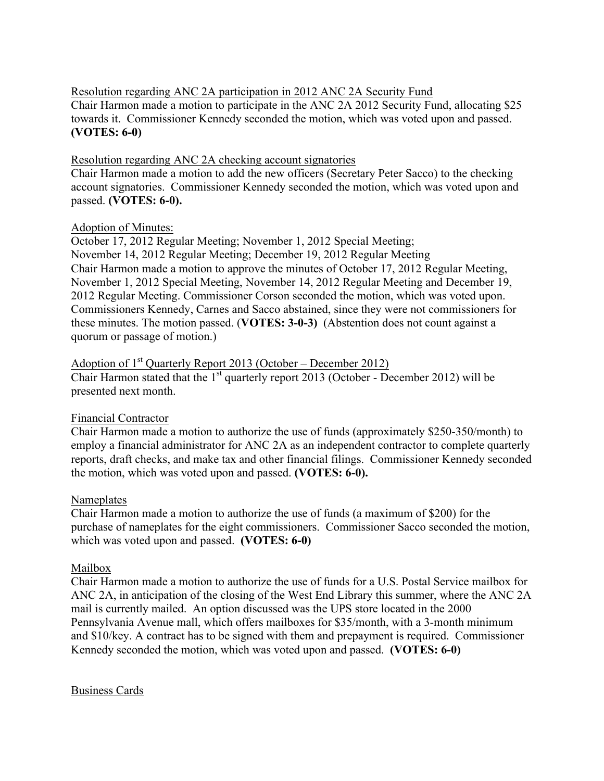Resolution regarding ANC 2A participation in 2012 ANC 2A Security Fund Chair Harmon made a motion to participate in the ANC 2A 2012 Security Fund, allocating \$25 towards it. Commissioner Kennedy seconded the motion, which was voted upon and passed. **(VOTES: 6-0)** 

## Resolution regarding ANC 2A checking account signatories

Chair Harmon made a motion to add the new officers (Secretary Peter Sacco) to the checking account signatories. Commissioner Kennedy seconded the motion, which was voted upon and passed. **(VOTES: 6-0).** 

## Adoption of Minutes:

October 17, 2012 Regular Meeting; November 1, 2012 Special Meeting; November 14, 2012 Regular Meeting; December 19, 2012 Regular Meeting Chair Harmon made a motion to approve the minutes of October 17, 2012 Regular Meeting, November 1, 2012 Special Meeting, November 14, 2012 Regular Meeting and December 19, 2012 Regular Meeting. Commissioner Corson seconded the motion, which was voted upon. Commissioners Kennedy, Carnes and Sacco abstained, since they were not commissioners for these minutes. The motion passed. (**VOTES: 3-0-3)** (Abstention does not count against a quorum or passage of motion.)

Adoption of  $1<sup>st</sup>$  Quarterly Report 2013 (October – December 2012) Chair Harmon stated that the  $1<sup>st</sup>$  quarterly report 2013 (October - December 2012) will be presented next month.

# Financial Contractor

Chair Harmon made a motion to authorize the use of funds (approximately \$250-350/month) to employ a financial administrator for ANC 2A as an independent contractor to complete quarterly reports, draft checks, and make tax and other financial filings. Commissioner Kennedy seconded the motion, which was voted upon and passed. **(VOTES: 6-0).** 

## Nameplates

Chair Harmon made a motion to authorize the use of funds (a maximum of \$200) for the purchase of nameplates for the eight commissioners. Commissioner Sacco seconded the motion, which was voted upon and passed. **(VOTES: 6-0)**

## Mailbox

Chair Harmon made a motion to authorize the use of funds for a U.S. Postal Service mailbox for ANC 2A, in anticipation of the closing of the West End Library this summer, where the ANC 2A mail is currently mailed. An option discussed was the UPS store located in the 2000 Pennsylvania Avenue mall, which offers mailboxes for \$35/month, with a 3-month minimum and \$10/key. A contract has to be signed with them and prepayment is required. Commissioner Kennedy seconded the motion, which was voted upon and passed. **(VOTES: 6-0)**

Business Cards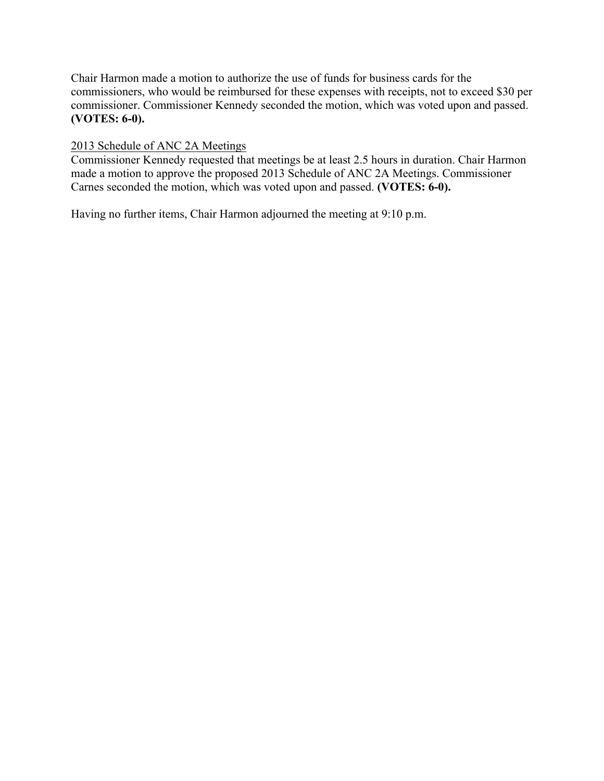Chair Harmon made a motion to authorize the use of funds for business cards for the commissioners, who would be reimbursed for these expenses with receipts, not to exceed \$30 per commissioner. Commissioner Kennedy seconded the motion, which was voted upon and passed. **(VOTES: 6-0).**

## 2013 Schedule of ANC 2A Meetings

Commissioner Kennedy requested that meetings be at least 2.5 hours in duration. Chair Harmon made a motion to approve the proposed 2013 Schedule of ANC 2A Meetings. Commissioner Carnes seconded the motion, which was voted upon and passed. **(VOTES: 6-0).** 

Having no further items, Chair Harmon adjourned the meeting at 9:10 p.m.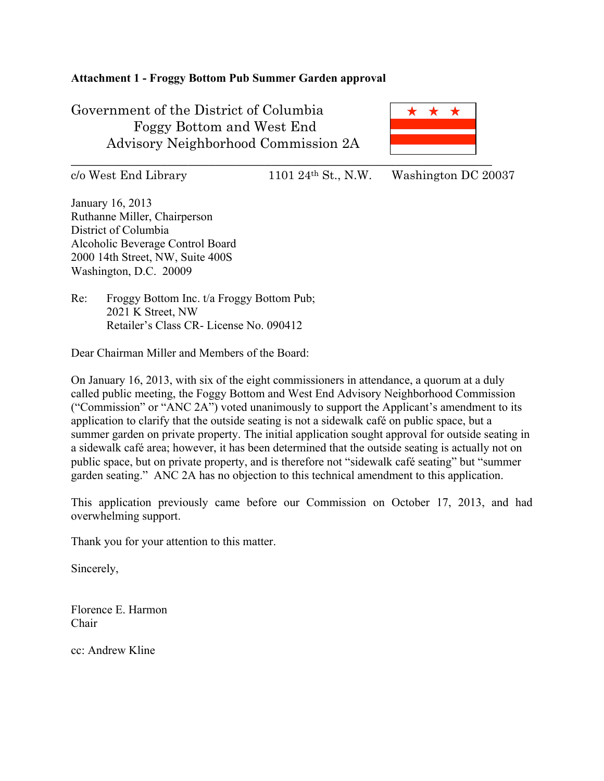## **Attachment 1 - Froggy Bottom Pub Summer Garden approval**

Government of the District of Columbia Foggy Bottom and West End Advisory Neighborhood Commission 2A \* \* \*

 $\overline{\phantom{a}}$  , and the contract of the contract of the contract of the contract of the contract of the contract of the contract of the contract of the contract of the contract of the contract of the contract of the contrac

c/o West End Library 1101 24th St., N.W. Washington DC 20037

January 16, 2013 Ruthanne Miller, Chairperson District of Columbia Alcoholic Beverage Control Board 2000 14th Street, NW, Suite 400S Washington, D.C. 20009

Re: Froggy Bottom Inc. t/a Froggy Bottom Pub; 2021 K Street, NW Retailer's Class CR- License No. 090412

Dear Chairman Miller and Members of the Board:

On January 16, 2013, with six of the eight commissioners in attendance, a quorum at a duly called public meeting, the Foggy Bottom and West End Advisory Neighborhood Commission ("Commission" or "ANC 2A") voted unanimously to support the Applicant's amendment to its application to clarify that the outside seating is not a sidewalk café on public space, but a summer garden on private property. The initial application sought approval for outside seating in a sidewalk café area; however, it has been determined that the outside seating is actually not on public space, but on private property, and is therefore not "sidewalk café seating" but "summer garden seating." ANC 2A has no objection to this technical amendment to this application.

This application previously came before our Commission on October 17, 2013, and had overwhelming support.

Thank you for your attention to this matter.

Sincerely,

Florence E. Harmon Chair

cc: Andrew Kline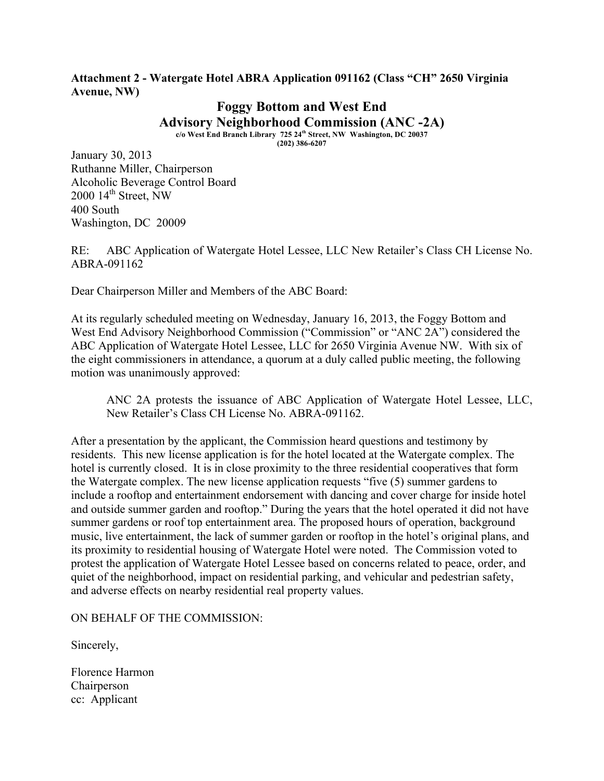#### **Attachment 2 - Watergate Hotel ABRA Application 091162 (Class "CH" 2650 Virginia Avenue, NW)**

**Foggy Bottom and West End Advisory Neighborhood Commission (ANC -2A) c/o West End Branch Library 725 24th Street, NW Washington, DC 20037**

**(202) 386-6207**

January 30, 2013 Ruthanne Miller, Chairperson Alcoholic Beverage Control Board  $2000$   $14^{\text{th}}$  Street, NW 400 South Washington, DC 20009

RE: ABC Application of Watergate Hotel Lessee, LLC New Retailer's Class CH License No. ABRA-091162

Dear Chairperson Miller and Members of the ABC Board:

At its regularly scheduled meeting on Wednesday, January 16, 2013, the Foggy Bottom and West End Advisory Neighborhood Commission ("Commission" or "ANC 2A") considered the ABC Application of Watergate Hotel Lessee, LLC for 2650 Virginia Avenue NW. With six of the eight commissioners in attendance, a quorum at a duly called public meeting, the following motion was unanimously approved:

ANC 2A protests the issuance of ABC Application of Watergate Hotel Lessee, LLC, New Retailer's Class CH License No. ABRA-091162.

After a presentation by the applicant, the Commission heard questions and testimony by residents. This new license application is for the hotel located at the Watergate complex. The hotel is currently closed. It is in close proximity to the three residential cooperatives that form the Watergate complex. The new license application requests "five (5) summer gardens to include a rooftop and entertainment endorsement with dancing and cover charge for inside hotel and outside summer garden and rooftop." During the years that the hotel operated it did not have summer gardens or roof top entertainment area. The proposed hours of operation, background music, live entertainment, the lack of summer garden or rooftop in the hotel's original plans, and its proximity to residential housing of Watergate Hotel were noted. The Commission voted to protest the application of Watergate Hotel Lessee based on concerns related to peace, order, and quiet of the neighborhood, impact on residential parking, and vehicular and pedestrian safety, and adverse effects on nearby residential real property values.

ON BEHALF OF THE COMMISSION:

Sincerely,

Florence Harmon Chairperson cc: Applicant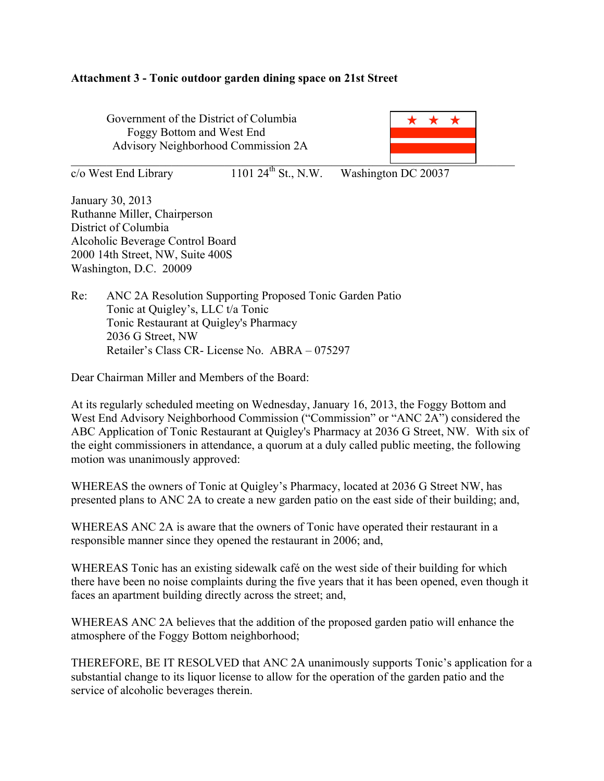#### **Attachment 3 - Tonic outdoor garden dining space on 21st Street**

Government of the District of Columbia Foggy Bottom and West End Advisory Neighborhood Commission 2A



 $\frac{\text{c}}{\text{o}}$  West End Library 1101 24<sup>th</sup> St., N.W. Washington DC 20037

January 30, 2013 Ruthanne Miller, Chairperson District of Columbia Alcoholic Beverage Control Board 2000 14th Street, NW, Suite 400S Washington, D.C. 20009

Re: ANC 2A Resolution Supporting Proposed Tonic Garden Patio Tonic at Quigley's, LLC t/a Tonic Tonic Restaurant at Quigley's Pharmacy 2036 G Street, NW Retailer's Class CR- License No. ABRA – 075297

Dear Chairman Miller and Members of the Board:

At its regularly scheduled meeting on Wednesday, January 16, 2013, the Foggy Bottom and West End Advisory Neighborhood Commission ("Commission" or "ANC 2A") considered the ABC Application of Tonic Restaurant at Quigley's Pharmacy at 2036 G Street, NW. With six of the eight commissioners in attendance, a quorum at a duly called public meeting, the following motion was unanimously approved:

WHEREAS the owners of Tonic at Quigley's Pharmacy, located at 2036 G Street NW, has presented plans to ANC 2A to create a new garden patio on the east side of their building; and,

WHEREAS ANC 2A is aware that the owners of Tonic have operated their restaurant in a responsible manner since they opened the restaurant in 2006; and,

WHEREAS Tonic has an existing sidewalk café on the west side of their building for which there have been no noise complaints during the five years that it has been opened, even though it faces an apartment building directly across the street; and,

WHEREAS ANC 2A believes that the addition of the proposed garden patio will enhance the atmosphere of the Foggy Bottom neighborhood;

THEREFORE, BE IT RESOLVED that ANC 2A unanimously supports Tonic's application for a substantial change to its liquor license to allow for the operation of the garden patio and the service of alcoholic beverages therein.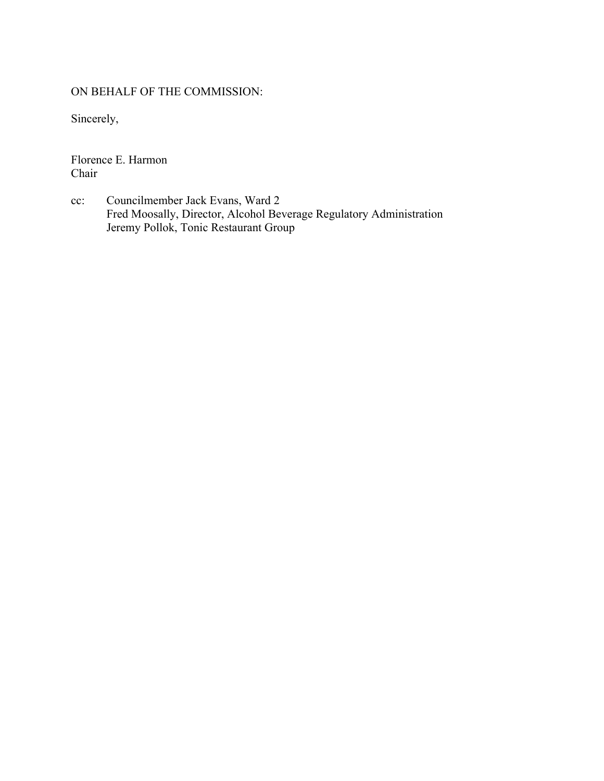# ON BEHALF OF THE COMMISSION:

Sincerely,

Florence E. Harmon Chair

cc: Councilmember Jack Evans, Ward 2 Fred Moosally, Director, Alcohol Beverage Regulatory Administration Jeremy Pollok, Tonic Restaurant Group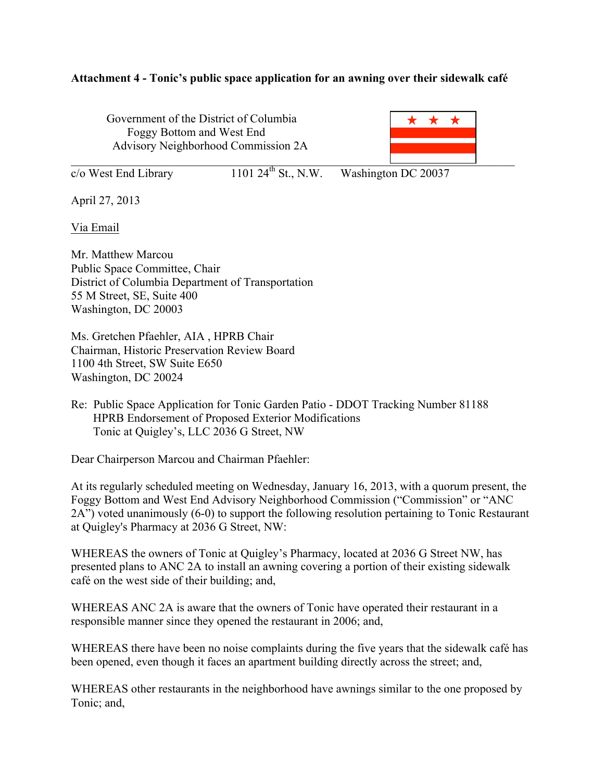## **Attachment 4 - Tonic's public space application for an awning over their sidewalk café**

Government of the District of Columbia Foggy Bottom and West End Advisory Neighborhood Commission 2A



| c/o West End Library | 1101 $24^{th}$ St., N.W. | Washington DC 20037 |
|----------------------|--------------------------|---------------------|
|                      |                          |                     |

April 27, 2013

Via Email

Mr. Matthew Marcou Public Space Committee, Chair District of Columbia Department of Transportation 55 M Street, SE, Suite 400 Washington, DC 20003

Ms. Gretchen Pfaehler, AIA , HPRB Chair Chairman, Historic Preservation Review Board 1100 4th Street, SW Suite E650 Washington, DC 20024

Re: Public Space Application for Tonic Garden Patio - DDOT Tracking Number 81188 HPRB Endorsement of Proposed Exterior Modifications Tonic at Quigley's, LLC 2036 G Street, NW

Dear Chairperson Marcou and Chairman Pfaehler:

At its regularly scheduled meeting on Wednesday, January 16, 2013, with a quorum present, the Foggy Bottom and West End Advisory Neighborhood Commission ("Commission" or "ANC 2A") voted unanimously (6-0) to support the following resolution pertaining to Tonic Restaurant at Quigley's Pharmacy at 2036 G Street, NW:

WHEREAS the owners of Tonic at Quigley's Pharmacy, located at 2036 G Street NW, has presented plans to ANC 2A to install an awning covering a portion of their existing sidewalk café on the west side of their building; and,

WHEREAS ANC 2A is aware that the owners of Tonic have operated their restaurant in a responsible manner since they opened the restaurant in 2006; and,

WHEREAS there have been no noise complaints during the five years that the sidewalk café has been opened, even though it faces an apartment building directly across the street; and,

WHEREAS other restaurants in the neighborhood have awnings similar to the one proposed by Tonic; and,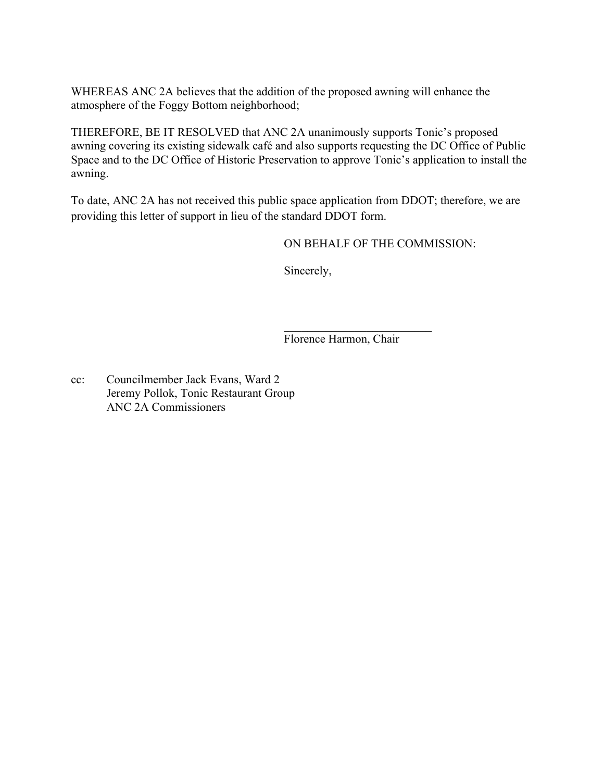WHEREAS ANC 2A believes that the addition of the proposed awning will enhance the atmosphere of the Foggy Bottom neighborhood;

THEREFORE, BE IT RESOLVED that ANC 2A unanimously supports Tonic's proposed awning covering its existing sidewalk café and also supports requesting the DC Office of Public Space and to the DC Office of Historic Preservation to approve Tonic's application to install the awning.

To date, ANC 2A has not received this public space application from DDOT; therefore, we are providing this letter of support in lieu of the standard DDOT form.

ON BEHALF OF THE COMMISSION:

Sincerely,

Florence Harmon, Chair

 $\mathcal{L}_\text{max}$  , where  $\mathcal{L}_\text{max}$  , we have the set of the set of the set of the set of the set of the set of the set of the set of the set of the set of the set of the set of the set of the set of the set of the set of

cc: Councilmember Jack Evans, Ward 2 Jeremy Pollok, Tonic Restaurant Group ANC 2A Commissioners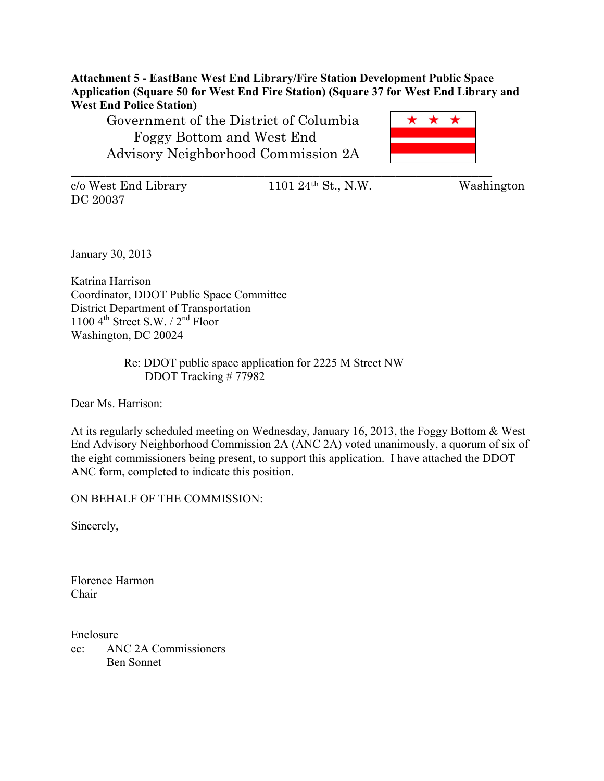**Attachment 5 - EastBanc West End Library/Fire Station Development Public Space Application (Square 50 for West End Fire Station) (Square 37 for West End Library and West End Police Station)**

Government of the District of Columbia Foggy Bottom and West End Advisory Neighborhood Commission 2A



 $c/\sigma$  West End Library 1101 24<sup>th</sup> St., N.W. Washington DC 20037

January 30, 2013

Katrina Harrison Coordinator, DDOT Public Space Committee District Department of Transportation 1100  $4^{\text{th}}$  Street S.W. /  $2^{\text{nd}}$  Floor Washington, DC 20024

> Re: DDOT public space application for 2225 M Street NW DDOT Tracking # 77982

Dear Ms. Harrison:

At its regularly scheduled meeting on Wednesday, January 16, 2013, the Foggy Bottom & West End Advisory Neighborhood Commission 2A (ANC 2A) voted unanimously, a quorum of six of the eight commissioners being present, to support this application. I have attached the DDOT ANC form, completed to indicate this position.

ON BEHALF OF THE COMMISSION:

Sincerely,

Florence Harmon Chair

Enclosure cc: ANC 2A Commissioners Ben Sonnet